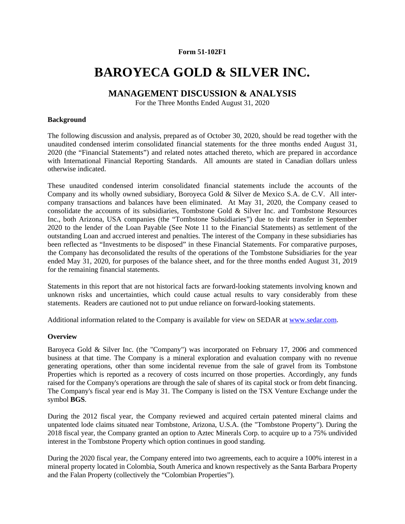## **Form 51-102F1**

# **BAROYECA GOLD & SILVER INC.**

# **MANAGEMENT DISCUSSION & ANALYSIS**

For the Three Months Ended August 31, 2020

#### **Background**

The following discussion and analysis, prepared as of October 30, 2020, should be read together with the unaudited condensed interim consolidated financial statements for the three months ended August 31, 2020 (the "Financial Statements") and related notes attached thereto, which are prepared in accordance with International Financial Reporting Standards. All amounts are stated in Canadian dollars unless otherwise indicated.

These unaudited condensed interim consolidated financial statements include the accounts of the Company and its wholly owned subsidiary, Boroyeca Gold & Silver de Mexico S.A. de C.V. All intercompany transactions and balances have been eliminated. At May 31, 2020, the Company ceased to consolidate the accounts of its subsidiaries, Tombstone Gold & Silver Inc. and Tombstone Resources Inc., both Arizona, USA companies (the "Tombstone Subsidiaries") due to their transfer in September 2020 to the lender of the Loan Payable (See Note 11 to the Financial Statements) as settlement of the outstanding Loan and accrued interest and penalties. The interest of the Company in these subsidiaries has been reflected as "Investments to be disposed" in these Financial Statements. For comparative purposes, the Company has deconsolidated the results of the operations of the Tombstone Subsidiaries for the year ended May 31, 2020, for purposes of the balance sheet, and for the three months ended August 31, 2019 for the remaining financial statements.

Statements in this report that are not historical facts are forward-looking statements involving known and unknown risks and uncertainties, which could cause actual results to vary considerably from these statements. Readers are cautioned not to put undue reliance on forward-looking statements.

Additional information related to the Company is available for view on SEDAR at www.sedar.com.

#### **Overview**

Baroyeca Gold & Silver Inc. (the "Company") was incorporated on February 17, 2006 and commenced business at that time. The Company is a mineral exploration and evaluation company with no revenue generating operations, other than some incidental revenue from the sale of gravel from its Tombstone Properties which is reported as a recovery of costs incurred on those properties. Accordingly, any funds raised for the Company's operations are through the sale of shares of its capital stock or from debt financing. The Company's fiscal year end is May 31. The Company is listed on the TSX Venture Exchange under the symbol **BGS**.

During the 2012 fiscal year, the Company reviewed and acquired certain patented mineral claims and unpatented lode claims situated near Tombstone, Arizona, U.S.A. (the "Tombstone Property"). During the 2018 fiscal year, the Company granted an option to Aztec Minerals Corp. to acquire up to a 75% undivided interest in the Tombstone Property which option continues in good standing.

During the 2020 fiscal year, the Company entered into two agreements, each to acquire a 100% interest in a mineral property located in Colombia, South America and known respectively as the Santa Barbara Property and the Falan Property (collectively the "Colombian Properties").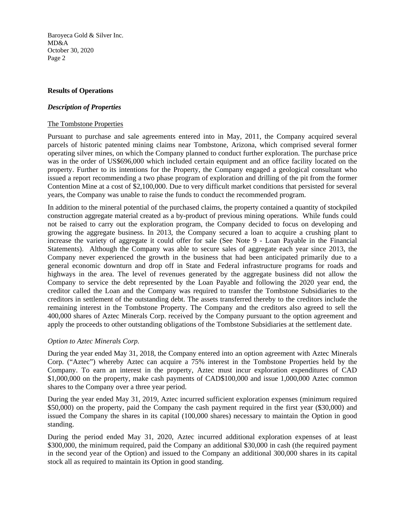## **Results of Operations**

#### *Description of Properties*

#### The Tombstone Properties

Pursuant to purchase and sale agreements entered into in May, 2011, the Company acquired several parcels of historic patented mining claims near Tombstone, Arizona, which comprised several former operating silver mines, on which the Company planned to conduct further exploration. The purchase price was in the order of US\$696,000 which included certain equipment and an office facility located on the property. Further to its intentions for the Property, the Company engaged a geological consultant who issued a report recommending a two phase program of exploration and drilling of the pit from the former Contention Mine at a cost of \$2,100,000. Due to very difficult market conditions that persisted for several years, the Company was unable to raise the funds to conduct the recommended program.

In addition to the mineral potential of the purchased claims, the property contained a quantity of stockpiled construction aggregate material created as a by-product of previous mining operations. While funds could not be raised to carry out the exploration program, the Company decided to focus on developing and growing the aggregate business. In 2013, the Company secured a loan to acquire a crushing plant to increase the variety of aggregate it could offer for sale (See Note 9 - Loan Payable in the Financial Statements). Although the Company was able to secure sales of aggregate each year since 2013, the Company never experienced the growth in the business that had been anticipated primarily due to a general economic downturn and drop off in State and Federal infrastructure programs for roads and highways in the area. The level of revenues generated by the aggregate business did not allow the Company to service the debt represented by the Loan Payable and following the 2020 year end, the creditor called the Loan and the Company was required to transfer the Tombstone Subsidiaries to the creditors in settlement of the outstanding debt. The assets transferred thereby to the creditors include the remaining interest in the Tombstone Property. The Company and the creditors also agreed to sell the 400,000 shares of Aztec Minerals Corp. received by the Company pursuant to the option agreement and apply the proceeds to other outstanding obligations of the Tombstone Subsidiaries at the settlement date.

## *Option to Aztec Minerals Corp.*

During the year ended May 31, 2018, the Company entered into an option agreement with Aztec Minerals Corp. ("Aztec") whereby Aztec can acquire a 75% interest in the Tombstone Properties held by the Company. To earn an interest in the property, Aztec must incur exploration expenditures of CAD \$1,000,000 on the property, make cash payments of CAD\$100,000 and issue 1,000,000 Aztec common shares to the Company over a three year period.

During the year ended May 31, 2019, Aztec incurred sufficient exploration expenses (minimum required \$50,000) on the property, paid the Company the cash payment required in the first year (\$30,000) and issued the Company the shares in its capital (100,000 shares) necessary to maintain the Option in good standing.

During the period ended May 31, 2020, Aztec incurred additional exploration expenses of at least \$300,000, the minimum required, paid the Company an additional \$30,000 in cash (the required payment in the second year of the Option) and issued to the Company an additional 300,000 shares in its capital stock all as required to maintain its Option in good standing.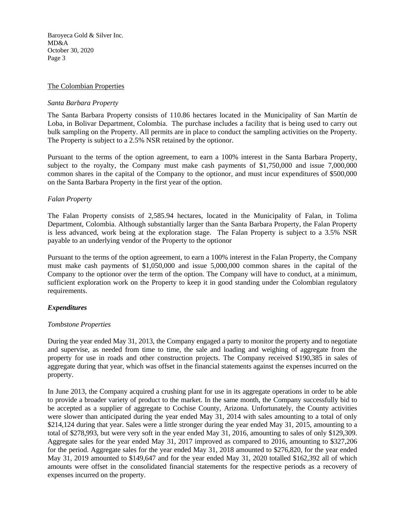#### The Colombian Properties

#### *Santa Barbara Property*

The Santa Barbara Property consists of 110.86 hectares located in the Municipality of San Martín de Loba, in Bolivar Department, Colombia. The purchase includes a facility that is being used to carry out bulk sampling on the Property. All permits are in place to conduct the sampling activities on the Property. The Property is subject to a 2.5% NSR retained by the optionor.

Pursuant to the terms of the option agreement, to earn a 100% interest in the Santa Barbara Property, subject to the royalty, the Company must make cash payments of \$1,750,000 and issue 7,000,000 common shares in the capital of the Company to the optionor, and must incur expenditures of \$500,000 on the Santa Barbara Property in the first year of the option.

#### *Falan Property*

The Falan Property consists of 2,585.94 hectares, located in the Municipality of Falan, in Tolima Department, Colombia. Although substantially larger than the Santa Barbara Property, the Falan Property is less advanced, work being at the exploration stage. The Falan Property is subject to a 3.5% NSR payable to an underlying vendor of the Property to the optionor

Pursuant to the terms of the option agreement, to earn a 100% interest in the Falan Property, the Company must make cash payments of \$1,050,000 and issue 5,000,000 common shares in the capital of the Company to the optionor over the term of the option. The Company will have to conduct, at a minimum, sufficient exploration work on the Property to keep it in good standing under the Colombian regulatory requirements.

## *Expenditures*

#### *Tombstone Properties*

During the year ended May 31, 2013, the Company engaged a party to monitor the property and to negotiate and supervise, as needed from time to time, the sale and loading and weighing of aggregate from the property for use in roads and other construction projects. The Company received \$190,385 in sales of aggregate during that year, which was offset in the financial statements against the expenses incurred on the property.

In June 2013, the Company acquired a crushing plant for use in its aggregate operations in order to be able to provide a broader variety of product to the market. In the same month, the Company successfully bid to be accepted as a supplier of aggregate to Cochise County, Arizona. Unfortunately, the County activities were slower than anticipated during the year ended May 31, 2014 with sales amounting to a total of only \$214,124 during that year. Sales were a little stronger during the year ended May 31, 2015, amounting to a total of \$278,993, but were very soft in the year ended May 31, 2016, amounting to sales of only \$129,309. Aggregate sales for the year ended May 31, 2017 improved as compared to 2016, amounting to \$327,206 for the period. Aggregate sales for the year ended May 31, 2018 amounted to \$276,820, for the year ended May 31, 2019 amounted to \$149,647 and for the year ended May 31, 2020 totalled \$162,392 all of which amounts were offset in the consolidated financial statements for the respective periods as a recovery of expenses incurred on the property.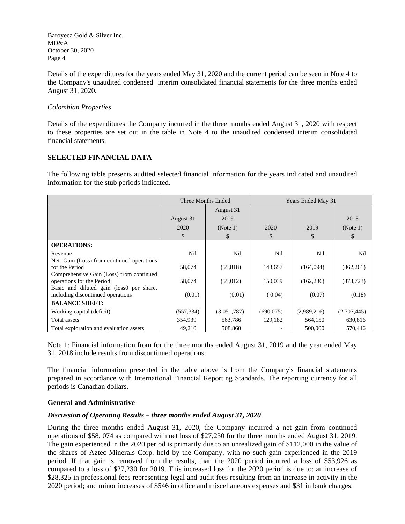Details of the expenditures for the years ended May 31, 2020 and the current period can be seen in Note 4 to the Company's unaudited condensed interim consolidated financial statements for the three months ended August 31, 2020.

## *Colombian Properties*

Details of the expenditures the Company incurred in the three months ended August 31, 2020 with respect to these properties are set out in the table in Note 4 to the unaudited condensed interim consolidated financial statements.

## **SELECTED FINANCIAL DATA**

The following table presents audited selected financial information for the years indicated and unaudited information for the stub periods indicated.

|                                                                                                         | Three Months Ended |             | <b>Years Ended May 31</b> |             |             |
|---------------------------------------------------------------------------------------------------------|--------------------|-------------|---------------------------|-------------|-------------|
|                                                                                                         |                    | August 31   |                           |             |             |
|                                                                                                         | August 31          | 2019        |                           |             | 2018        |
|                                                                                                         | 2020               | (Note 1)    | 2020                      | 2019        | (Note 1)    |
|                                                                                                         | \$                 | \$          | \$                        | \$          | \$          |
| <b>OPERATIONS:</b>                                                                                      |                    |             |                           |             |             |
| Revenue                                                                                                 | Nil                | Nil         | Nil                       | Nil         | Nil         |
| Net Gain (Loss) from continued operations<br>for the Period<br>Comprehensive Gain (Loss) from continued | 58,074             | (55, 818)   | 143,657                   | (164,094)   | (862, 261)  |
| operations for the Period<br>Basic and diluted gain (loss0 per share,                                   | 58,074             | (55,012)    | 150,039                   | (162, 236)  | (873, 723)  |
| including discontinued operations                                                                       | (0.01)             | (0.01)      | (0.04)                    | (0.07)      | (0.18)      |
| <b>BALANCE SHEET:</b>                                                                                   |                    |             |                           |             |             |
| Working capital (deficit)                                                                               | (557, 334)         | (3,051,787) | (690,075)                 | (2,989,216) | (2,707,445) |
| Total assets                                                                                            | 354,939            | 563,786     | 129,182                   | 564,150     | 630,816     |
| Total exploration and evaluation assets                                                                 | 49,210             | 508,860     |                           | 500,000     | 570,446     |

Note 1: Financial information from for the three months ended August 31, 2019 and the year ended May 31, 2018 include results from discontinued operations.

The financial information presented in the table above is from the Company's financial statements prepared in accordance with International Financial Reporting Standards. The reporting currency for all periods is Canadian dollars.

## **General and Administrative**

## *Discussion of Operating Results – three months ended August 31, 2020*

During the three months ended August 31, 2020, the Company incurred a net gain from continued operations of \$58, 074 as compared with net loss of \$27,230 for the three months ended August 31, 2019. The gain experienced in the 2020 period is primarily due to an unrealized gain of \$112,000 in the value of the shares of Aztec Minerals Corp. held by the Company, with no such gain experienced in the 2019 period. If that gain is removed from the results, than the 2020 period incurred a loss of \$53,926 as compared to a loss of \$27,230 for 2019. This increased loss for the 2020 period is due to: an increase of \$28,325 in professional fees representing legal and audit fees resulting from an increase in activity in the 2020 period; and minor increases of \$546 in office and miscellaneous expenses and \$31 in bank charges.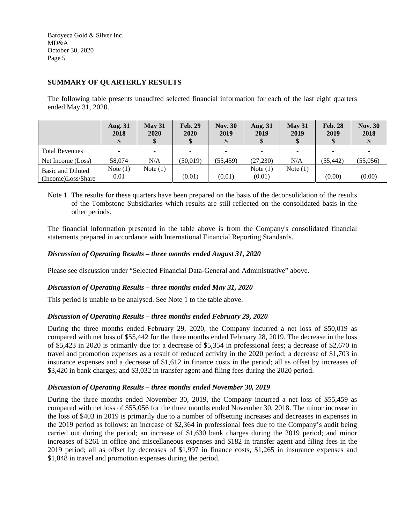# **SUMMARY OF QUARTERLY RESULTS**

The following table presents unaudited selected financial information for each of the last eight quarters ended May 31, 2020.

|                       | <b>Aug. 31</b><br>2018 | May 31<br>2020 | <b>Feb. 29</b><br>2020 | <b>Nov. 30</b><br>2019   | <b>Aug. 31</b><br>2019 | May 31<br>2019 | <b>Feb. 28</b><br>2019 | <b>Nov. 30</b><br>2018 |
|-----------------------|------------------------|----------------|------------------------|--------------------------|------------------------|----------------|------------------------|------------------------|
| <b>Total Revenues</b> |                        |                |                        | $\overline{\phantom{a}}$ |                        |                |                        |                        |
| Net Income (Loss)     | 58,074                 | N/A            | (50, 019)              | (55.459)                 | (27, 230)              | N/A            | (55, 442)              | (55,056)               |
| Basic and Diluted     | Note $(1)$             | Note $(1)$     |                        |                          | Note $(1)$             | Note $(1)$     |                        |                        |
| (Income)Loss/Share    | 0.01                   |                | (0.01)                 | (0.01)                   | (0.01)                 |                | (0.00)                 | (0.00)                 |

Note 1. The results for these quarters have been prepared on the basis of the deconsolidation of the results of the Tombstone Subsidiaries which results are still reflected on the consolidated basis in the other periods.

The financial information presented in the table above is from the Company's consolidated financial statements prepared in accordance with International Financial Reporting Standards.

## *Discussion of Operating Results – three months ended August 31, 2020*

Please see discussion under "Selected Financial Data-General and Administrative" above.

## *Discussion of Operating Results – three months ended May 31, 2020*

This period is unable to be analysed. See Note 1 to the table above.

#### *Discussion of Operating Results – three months ended February 29, 2020*

During the three months ended February 29, 2020, the Company incurred a net loss of \$50,019 as compared with net loss of \$55,442 for the three months ended February 28, 2019. The decrease in the loss of \$5,423 in 2020 is primarily due to: a decrease of \$5,354 in professional fees; a decrease of \$2,670 in travel and promotion expenses as a result of reduced activity in the 2020 period; a decrease of \$1,703 in insurance expenses and a decrease of \$1,612 in finance costs in the period; all as offset by increases of \$3,420 in bank charges; and \$3,032 in transfer agent and filing fees during the 2020 period.

#### *Discussion of Operating Results – three months ended November 30, 2019*

During the three months ended November 30, 2019, the Company incurred a net loss of \$55,459 as compared with net loss of \$55,056 for the three months ended November 30, 2018. The minor increase in the loss of \$403 in 2019 is primarily due to a number of offsetting increases and decreases in expenses in the 2019 period as follows: an increase of \$2,364 in professional fees due to the Company's audit being carried out during the period; an increase of \$1,630 bank charges during the 2019 period; and minor increases of \$261 in office and miscellaneous expenses and \$182 in transfer agent and filing fees in the 2019 period; all as offset by decreases of \$1,997 in finance costs, \$1,265 in insurance expenses and \$1,048 in travel and promotion expenses during the period.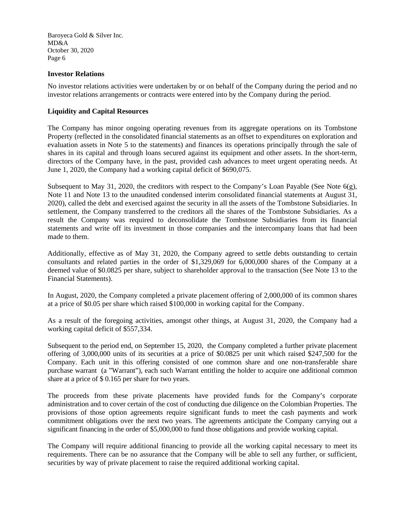#### **Investor Relations**

No investor relations activities were undertaken by or on behalf of the Company during the period and no investor relations arrangements or contracts were entered into by the Company during the period.

## **Liquidity and Capital Resources**

The Company has minor ongoing operating revenues from its aggregate operations on its Tombstone Property (reflected in the consolidated financial statements as an offset to expenditures on exploration and evaluation assets in Note 5 to the statements) and finances its operations principally through the sale of shares in its capital and through loans secured against its equipment and other assets. In the short-term, directors of the Company have, in the past, provided cash advances to meet urgent operating needs. At June 1, 2020, the Company had a working capital deficit of \$690,075.

Subsequent to May 31, 2020, the creditors with respect to the Company's Loan Payable (See Note  $6(g)$ , Note 11 and Note 13 to the unaudited condensed interim consolidated financial statements at August 31, 2020), called the debt and exercised against the security in all the assets of the Tombstone Subsidiaries. In settlement, the Company transferred to the creditors all the shares of the Tombstone Subsidiaries. As a result the Company was required to deconsolidate the Tombstone Subsidiaries from its financial statements and write off its investment in those companies and the intercompany loans that had been made to them.

Additionally, effective as of May 31, 2020, the Company agreed to settle debts outstanding to certain consultants and related parties in the order of \$1,329,069 for 6,000,000 shares of the Company at a deemed value of \$0.0825 per share, subject to shareholder approval to the transaction (See Note 13 to the Financial Statements).

In August, 2020, the Company completed a private placement offering of 2,000,000 of its common shares at a price of \$0.05 per share which raised \$100,000 in working capital for the Company.

As a result of the foregoing activities, amongst other things, at August 31, 2020, the Company had a working capital deficit of \$557,334.

Subsequent to the period end, on September 15, 2020, the Company completed a further private placement offering of 3,000,000 units of its securities at a price of \$0.0825 per unit which raised \$247,500 for the Company. Each unit in this offering consisted of one common share and one non-transferable share purchase warrant (a "Warrant"), each such Warrant entitling the holder to acquire one additional common share at a price of \$ 0.165 per share for two years.

The proceeds from these private placements have provided funds for the Company's corporate administration and to cover certain of the cost of conducting due diligence on the Colombian Properties. The provisions of those option agreements require significant funds to meet the cash payments and work commitment obligations over the next two years. The agreements anticipate the Company carrying out a significant financing in the order of \$5,000,000 to fund those obligations and provide working capital.

The Company will require additional financing to provide all the working capital necessary to meet its requirements. There can be no assurance that the Company will be able to sell any further, or sufficient, securities by way of private placement to raise the required additional working capital.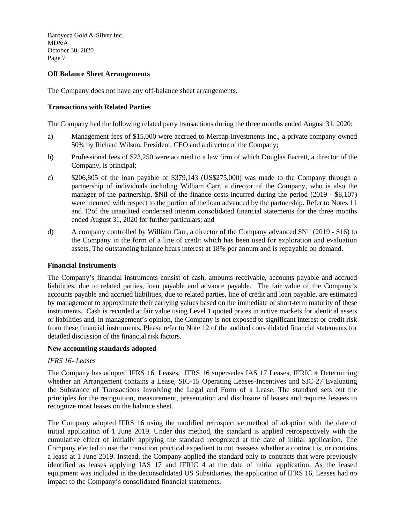## **Off Balance Sheet Arrangements**

The Company does not have any off-balance sheet arrangements.

#### **Transactions with Related Parties**

The Company had the following related party transactions during the three months ended August 31, 2020:

- a) Management fees of \$15,000 were accrued to Mercap Investments Inc., a private company owned 50% by Richard Wilson, President, CEO and a director of the Company;
- b) Professional fees of \$23,250 were accrued to a law firm of which Douglas Eacrett, a director of the Company, is principal;
- c) \$206,805 of the loan payable of \$379,143 (US\$275,000) was made to the Company through a partnership of individuals including William Carr, a director of the Company, who is also the manager of the partnership. \$Nil of the finance costs incurred during the period (2019 - \$8,107) were incurred with respect to the portion of the loan advanced by the partnership. Refer to Notes 11 and 12of the unaudited condensed interim consolidated financial statements for the three months ended August 31, 2020 for further particulars; and
- d) A company controlled by William Carr, a director of the Company advanced \$Nil (2019 \$16) to the Company in the form of a line of credit which has been used for exploration and evaluation assets. The outstanding balance bears interest at 18% per annum and is repayable on demand.

#### **Financial Instruments**

The Company's financial instruments consist of cash, amounts receivable, accounts payable and accrued liabilities, due to related parties, loan payable and advance payable. The fair value of the Company's accounts payable and accrued liabilities, due to related parties, line of credit and loan payable, are estimated by management to approximate their carrying values based on the immediate or short-term maturity of these instruments. Cash is recorded at fair value using Level 1 quoted prices in active markets for identical assets or liabilities and, in management's opinion, the Company is not exposed to significant interest or credit risk from these financial instruments. Please refer to Note 12 of the audited consolidated financial statements for detailed discussion of the financial risk factors.

#### **New accounting standards adopted**

#### *IFRS 16- Leases*

The Company has adopted IFRS 16, Leases. IFRS 16 supersedes IAS 17 Leases, IFRIC 4 Determining whether an Arrangement contains a Lease, SIC-15 Operating Leases-Incentives and SIC-27 Evaluating the Substance of Transactions Involving the Legal and Form of a Lease. The standard sets out the principles for the recognition, measurement, presentation and disclosure of leases and requires lessees to recognize most leases on the balance sheet.

The Company adopted IFRS 16 using the modified retrospective method of adoption with the date of initial application of 1 June 2019. Under this method, the standard is applied retrospectively with the cumulative effect of initially applying the standard recognized at the date of initial application. The Company elected to use the transition practical expedient to not reassess whether a contract is, or contains a lease at 1 June 2019. Instead, the Company applied the standard only to contracts that were previously identified as leases applying IAS 17 and IFRIC 4 at the date of initial application. As the leased equipment was included in the deconsolidated US Subsidiaries, the application of IFRS 16, Leases had no impact to the Company's consolidated financial statements.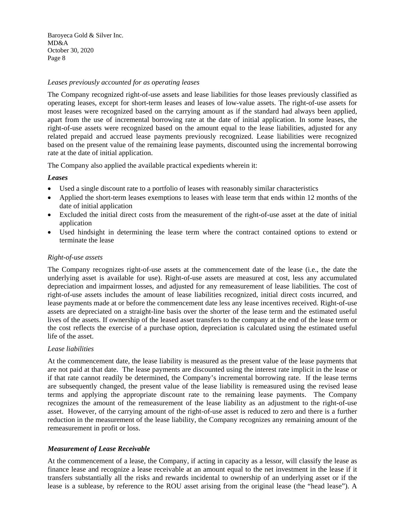## *Leases previously accounted for as operating leases*

The Company recognized right-of-use assets and lease liabilities for those leases previously classified as operating leases, except for short-term leases and leases of low-value assets. The right-of-use assets for most leases were recognized based on the carrying amount as if the standard had always been applied, apart from the use of incremental borrowing rate at the date of initial application. In some leases, the right-of-use assets were recognized based on the amount equal to the lease liabilities, adjusted for any related prepaid and accrued lease payments previously recognized. Lease liabilities were recognized based on the present value of the remaining lease payments, discounted using the incremental borrowing rate at the date of initial application.

The Company also applied the available practical expedients wherein it:

## *Leases*

- Used a single discount rate to a portfolio of leases with reasonably similar characteristics
- Applied the short-term leases exemptions to leases with lease term that ends within 12 months of the date of initial application
- Excluded the initial direct costs from the measurement of the right-of-use asset at the date of initial application
- Used hindsight in determining the lease term where the contract contained options to extend or terminate the lease

## *Right-of-use assets*

The Company recognizes right-of-use assets at the commencement date of the lease (i.e., the date the underlying asset is available for use). Right-of-use assets are measured at cost, less any accumulated depreciation and impairment losses, and adjusted for any remeasurement of lease liabilities. The cost of right-of-use assets includes the amount of lease liabilities recognized, initial direct costs incurred, and lease payments made at or before the commencement date less any lease incentives received. Right-of-use assets are depreciated on a straight-line basis over the shorter of the lease term and the estimated useful lives of the assets. If ownership of the leased asset transfers to the company at the end of the lease term or the cost reflects the exercise of a purchase option, depreciation is calculated using the estimated useful life of the asset.

#### *Lease liabilities*

At the commencement date, the lease liability is measured as the present value of the lease payments that are not paid at that date. The lease payments are discounted using the interest rate implicit in the lease or if that rate cannot readily be determined, the Company's incremental borrowing rate. If the lease terms are subsequently changed, the present value of the lease liability is remeasured using the revised lease terms and applying the appropriate discount rate to the remaining lease payments. The Company recognizes the amount of the remeasurement of the lease liability as an adjustment to the right-of-use asset. However, of the carrying amount of the right-of-use asset is reduced to zero and there is a further reduction in the measurement of the lease liability, the Company recognizes any remaining amount of the remeasurement in profit or loss.

## *Measurement of Lease Receivable*

At the commencement of a lease, the Company, if acting in capacity as a lessor, will classify the lease as finance lease and recognize a lease receivable at an amount equal to the net investment in the lease if it transfers substantially all the risks and rewards incidental to ownership of an underlying asset or if the lease is a sublease, by reference to the ROU asset arising from the original lease (the "head lease"). A